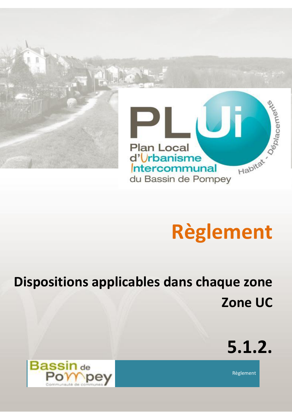

# **Règlement**

# **Dispositions applicables dans chaque zone Zone UC**



Règlement

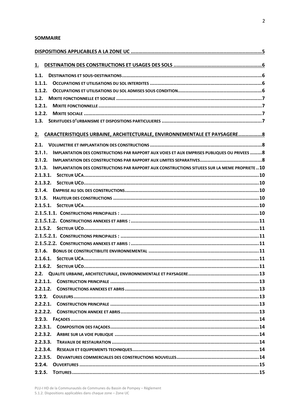#### **SOMMAIRE**

| 1.                                                                                                       |  |
|----------------------------------------------------------------------------------------------------------|--|
| 1.1.                                                                                                     |  |
| 1.1.1.                                                                                                   |  |
| 1.1.2.                                                                                                   |  |
| 1.2.                                                                                                     |  |
| 1.2.1.                                                                                                   |  |
| 1.2.2.                                                                                                   |  |
| 1.3.                                                                                                     |  |
|                                                                                                          |  |
| CARACTERISTIQUES URBAINE, ARCHITECTURALE, ENVIRONNEMENTALE ET PAYSAGERE 8<br>2.                          |  |
| 2.1.                                                                                                     |  |
| 2.1.1.<br>IMPLANTATION DES CONSTRUCTIONS PAR RAPPORT AUX VOIES ET AUX EMPRISES PUBLIQUES OU PRIVEES 8    |  |
| 2.1.2.                                                                                                   |  |
| 2.1.3.<br>IMPLANTATION DES CONSTRUCTIONS PAR RAPPORT AUX CONSTRUCTIONS SITUEES SUR LA MEME PROPRIETE  10 |  |
|                                                                                                          |  |
| 2.1.3.2.                                                                                                 |  |
| 2.1.4.                                                                                                   |  |
| 2.1.5.                                                                                                   |  |
|                                                                                                          |  |
|                                                                                                          |  |
|                                                                                                          |  |
|                                                                                                          |  |
|                                                                                                          |  |
|                                                                                                          |  |
|                                                                                                          |  |
|                                                                                                          |  |
|                                                                                                          |  |
|                                                                                                          |  |
| 2.2.1.1.                                                                                                 |  |
| 2.2.1.2.                                                                                                 |  |
|                                                                                                          |  |
| 2.2.2.1.                                                                                                 |  |
| 2.2.2.2.                                                                                                 |  |
| 2.2.3.                                                                                                   |  |
| 2.2.3.1.                                                                                                 |  |
| 2.2.3.2.                                                                                                 |  |
| 2.2.3.3.                                                                                                 |  |
| 2.2.3.4.                                                                                                 |  |
| 2.2.3.5.                                                                                                 |  |
| 2.2.4.                                                                                                   |  |
| 2.2.5.                                                                                                   |  |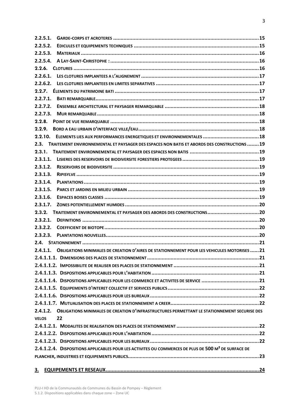| 2.2.5.1.                                                                                                        |  |
|-----------------------------------------------------------------------------------------------------------------|--|
| 2.2.5.2.                                                                                                        |  |
| 2.2.5.3.                                                                                                        |  |
| 2.2.5.4.                                                                                                        |  |
|                                                                                                                 |  |
| 2.2.6.1.                                                                                                        |  |
| 2.2.6.2.                                                                                                        |  |
|                                                                                                                 |  |
| 2.2.7.1.                                                                                                        |  |
| 2.2.7.2.                                                                                                        |  |
| 2.2.7.3.                                                                                                        |  |
| 2.2.8.                                                                                                          |  |
| 2.2.9.                                                                                                          |  |
| ELEMENTS LIES AUX PERFORMANCES ENERGETIQUES ET ENVIRONNEMENTALES  18<br>2.2.10.                                 |  |
| 2.3.<br>TRAITEMENT ENVIRONNEMENTAL ET PAYSAGER DES ESPACES NON BATIS ET ABORDS DES CONSTRUCTIONS  19            |  |
| 2.3.1.                                                                                                          |  |
| 2.3.1.1.                                                                                                        |  |
| 2.3.1.2.                                                                                                        |  |
| 2.3.1.3.                                                                                                        |  |
| 2.3.1.4.                                                                                                        |  |
| 2.3.1.5.                                                                                                        |  |
| 2.3.1.6.                                                                                                        |  |
| 2.3.1.7.                                                                                                        |  |
| TRAITEMENT ENVIRONNEMENTAL ET PAYSAGER DES ABORDS DES CONSTRUCTIONS20<br>2.3.2.                                 |  |
| 2.3.2.1.                                                                                                        |  |
| 2.3.2.2.                                                                                                        |  |
| 2.3.2.3.                                                                                                        |  |
|                                                                                                                 |  |
| <b>OBLIGATIONS MINIMALES DE CREATION D'AIRES DE STATIONNEMENT POUR LES VEHICULES MOTORISES  21</b><br>2.4.1.1.  |  |
|                                                                                                                 |  |
|                                                                                                                 |  |
|                                                                                                                 |  |
|                                                                                                                 |  |
|                                                                                                                 |  |
|                                                                                                                 |  |
|                                                                                                                 |  |
| 2.4.1.2. OBLIGATIONS MINIMALES DE CREATION D'INFRASTRUCTURES PERMETTANT LE STATIONNEMENT SECURISE DES           |  |
| 22<br><b>VELOS</b>                                                                                              |  |
|                                                                                                                 |  |
|                                                                                                                 |  |
|                                                                                                                 |  |
| 2.4.1.2.4. DISPOSITIONS APPLICABLES POUR LES ACTIVITES OU COMMERCES DE PLUS DE 500 M <sup>2</sup> DE SURFACE DE |  |
|                                                                                                                 |  |
| <u>3.</u>                                                                                                       |  |
|                                                                                                                 |  |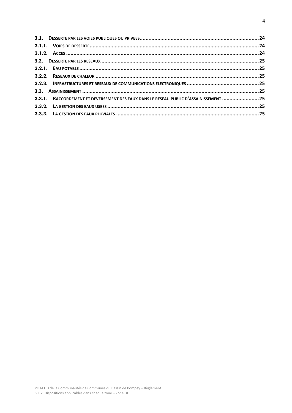| 3.3.1. RACCORDEMENT ET DEVERSEMENT DES EAUX DANS LE RESEAU PUBLIC D'ASSAINISSEMENT 25 |  |
|---------------------------------------------------------------------------------------|--|
|                                                                                       |  |
|                                                                                       |  |
|                                                                                       |  |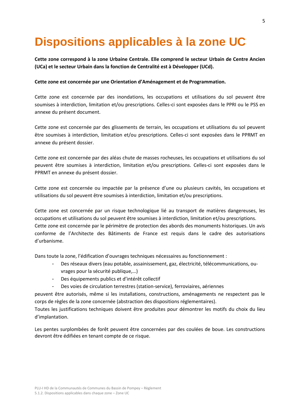# <span id="page-4-0"></span>**Dispositions applicables à la zone UC**

**Cette zone correspond à la zone Urbaine Centrale. Elle comprend le secteur Urbain de Centre Ancien (UCa) et le secteur Urbain dans la fonction de Centralité est à Développer (UCd).**

#### **Cette zone est concernée par une Orientation d'Aménagement et de Programmation.**

Cette zone est concernée par des inondations, les occupations et utilisations du sol peuvent être soumises à interdiction, limitation et/ou prescriptions. Celles-ci sont exposées dans le PPRI ou le PSS en annexe du présent document.

Cette zone est concernée par des glissements de terrain, les occupations et utilisations du sol peuvent être soumises à interdiction, limitation et/ou prescriptions. Celles-ci sont exposées dans le PPRMT en annexe du présent dossier.

Cette zone est concernée par des aléas chute de masses rocheuses, les occupations et utilisations du sol peuvent être soumises à interdiction, limitation et/ou prescriptions. Celles-ci sont exposées dans le PPRMT en annexe du présent dossier.

Cette zone est concernée ou impactée par la présence d'une ou plusieurs cavités, les occupations et utilisations du sol peuvent être soumises à interdiction, limitation et/ou prescriptions.

Cette zone est concernée par un risque technologique lié au transport de matières dangereuses, les occupations et utilisations du sol peuvent être soumises à interdiction, limitation et/ou prescriptions. Cette zone est concernée par le périmètre de protection des abords des monuments historiques. Un avis conforme de l'Architecte des Bâtiments de France est requis dans le cadre des autorisations d'urbanisme.

Dans toute la zone, l'édification d'ouvrages techniques nécessaires au fonctionnement :

- Des réseaux divers (eau potable, assainissement, gaz, électricité, télécommunications, ouvrages pour la sécurité publique,…)
- Des équipements publics et d'intérêt collectif
- Des voies de circulation terrestres (station-service), ferroviaires, aériennes

peuvent être autorisés, même si les installations, constructions, aménagements ne respectent pas le corps de règles de la zone concernée (abstraction des dispositions réglementaires).

Toutes les justifications techniques doivent être produites pour démontrer les motifs du choix du lieu d'implantation.

Les pentes surplombées de forêt peuvent être concernées par des coulées de boue. Les constructions devront être édifiées en tenant compte de ce risque.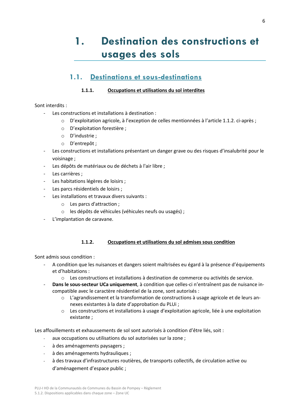# <span id="page-5-0"></span>**1. Destination des constructions et usages des sols**

## **1.1. Destinations et sous-destinations**

#### **1.1.1. Occupations et utilisations du sol interdites**

#### <span id="page-5-2"></span><span id="page-5-1"></span>Sont interdits :

- Les constructions et installations à destination :
	- o D'exploitation agricole, à l'exception de celles mentionnées à l'article 1.1.2. ci-après ;
	- o D'exploitation forestière ;
	- o D'industrie ;
	- o D'entrepôt ;
- Les constructions et installations présentant un danger grave ou des risques d'insalubrité pour le voisinage ;
- Les dépôts de matériaux ou de déchets à l'air libre ;
- Les carrières ;
- Les habitations légères de loisirs ;
- Les parcs résidentiels de loisirs ;
- Les installations et travaux divers suivants :
	- o Les parcs d'attraction ;
	- o les dépôts de véhicules (véhicules neufs ou usagés) ;
- L'implantation de caravane.

#### **1.1.2. Occupations et utilisations du sol admises sous condition**

<span id="page-5-3"></span>Sont admis sous condition :

- A condition que les nuisances et dangers soient maîtrisées eu égard à la présence d'équipements et d'habitations :
	- o Les constructions et installations à destination de commerce ou activités de service.
- Dans le sous-secteur UCa uniquement, à condition que celles-ci n'entraînent pas de nuisance incompatible avec le caractère résidentiel de la zone, sont autorisés :
	- o L'agrandissement et la transformation de constructions à usage agricole et de leurs annexes existantes à la date d'approbation du PLUi ;
	- o Les constructions et installations à usage d'exploitation agricole, liée à une exploitation existante ;

Les affouillements et exhaussements de sol sont autorisés à condition d'être liés, soit :

- aux occupations ou utilisations du sol autorisées sur la zone ;
- à des aménagements paysagers ;
- à des aménagements hydrauliques ;
- à des travaux d'infrastructures routières, de transports collectifs, de circulation active ou d'aménagement d'espace public ;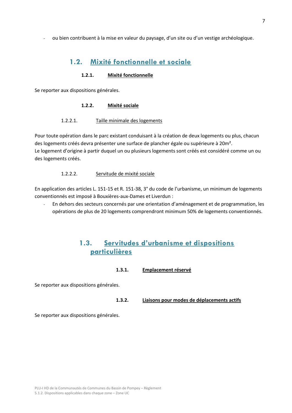<span id="page-6-0"></span>- ou bien contribuent à la mise en valeur du paysage, d'un site ou d'un vestige archéologique.

### **1.2. Mixité fonctionnelle et sociale**

#### **1.2.1. Mixité fonctionnelle**

<span id="page-6-2"></span><span id="page-6-1"></span>Se reporter aux dispositions générales.

#### **1.2.2. Mixité sociale**

#### 1.2.2.1. Taille minimale des logements

Pour toute opération dans le parc existant conduisant à la création de deux logements ou plus, chacun des logements créés devra présenter une surface de plancher égale ou supérieure à 20m². Le logement d'origine à partir duquel un ou plusieurs logements sont créés est considéré comme un ou des logements créés.

#### 1.2.2.2. Servitude de mixité sociale

En application des articles L. 151-15 et R. 151-38, 3° du code de l'urbanisme, un minimum de logements conventionnés est imposé à Bouxières-aux-Dames et Liverdun :

<span id="page-6-3"></span>- En dehors des secteurs concernés par une orientation d'aménagement et de programmation, les opérations de plus de 20 logements comprendront minimum 50% de logements conventionnés.

### **1.3. Servitudes d'urbanisme et dispositions particulières**

#### **1.3.1. Emplacement réservé**

Se reporter aux dispositions générales.

#### **1.3.2. Liaisons pour modes de déplacements actifs**

Se reporter aux dispositions générales.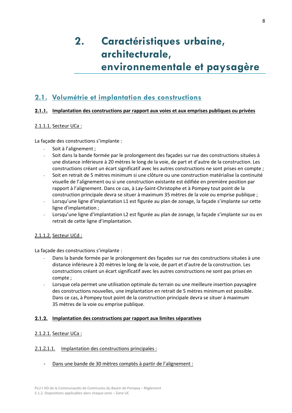# <span id="page-7-0"></span>**2. Caractéristiques urbaine, architecturale, environnementale et paysagère**

# <span id="page-7-1"></span>**2.1. Volumétrie et implantation des constructions**

#### <span id="page-7-2"></span>**2.1.1. Implantation des constructions par rapport aux voies et aux emprises publiques ou privées**

#### 2.1.1.1. Secteur UCa :

La façade des constructions s'implante :

- Soit à l'alignement ;
- Soit dans la bande formée par le prolongement des façades sur rue des constructions situées à une distance inférieure à 20 mètres le long de la voie, de part et d'autre de la construction. Les constructions créant un écart significatif avec les autres constructions ne sont prises en compte ;
- Soit en retrait de 5 mètres minimum si une clôture ou une construction matérialise la continuité visuelle de l'alignement ou si une construction existante est édifiée en première position par rapport à l'alignement. Dans ce cas, à Lay-Saint-Christophe et à Pompey tout point de la construction principale devra se situer à maximum 35 mètres de la voie ou emprise publique ;
- Lorsqu'une ligne d'implantation L1 est figurée au plan de zonage, la façade s'implante sur cette ligne d'implantation ;
- Lorsqu'une ligne d'implantation L2 est figurée au plan de zonage, la façade s'implante sur ou en retrait de cette ligne d'implantation.

#### 2.1.1.2. Secteur UCd :

La façade des constructions s'implante :

- Dans la bande formée par le prolongement des façades sur rue des constructions situées à une distance inférieure à 20 mètres le long de la voie, de part et d'autre de la construction. Les constructions créant un écart significatif avec les autres constructions ne sont pas prises en compte ;
- Lorsque cela permet une utilisation optimale du terrain ou une meilleure insertion paysagère des constructions nouvelles, une implantation en retrait de 5 mètres minimum est possible. Dans ce cas, à Pompey tout point de la construction principale devra se situer à maximum 35 mètres de la voie ou emprise publique.

#### <span id="page-7-3"></span>**2.1.2. Implantation des constructions par rapport aux limites séparatives**

#### 2.1.2.1. Secteur UCa :

#### 2.1.2.1.1. Implantation des constructions principales :

Dans une bande de 30 mètres comptés à partir de l'alignement :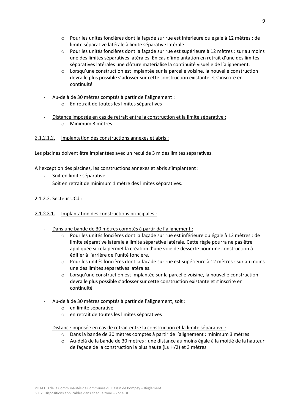- o Pour les unités foncières dont la façade sur rue est inférieure ou égale à 12 mètres : de limite séparative latérale à limite séparative latérale
- o Pour les unités foncières dont la façade sur rue est supérieure à 12 mètres : sur au moins une des limites séparatives latérales. En cas d'implantation en retrait d'une des limites séparatives latérales une clôture matérialise la continuité visuelle de l'alignement.
- $\circ$  Lorsqu'une construction est implantée sur la parcelle voisine, la nouvelle construction devra le plus possible s'adosser sur cette construction existante et s'inscrire en continuité
- Au-delà de 30 mètres comptés à partir de l'alignement :
	- o En retrait de toutes les limites séparatives
- Distance imposée en cas de retrait entre la construction et la limite séparative : o Minimum 3 mètres

#### 2.1.2.1.2. Implantation des constructions annexes et abris :

Les piscines doivent être implantées avec un recul de 3 m des limites séparatives.

A l'exception des piscines, les constructions annexes et abris s'implantent :

- Soit en limite séparative
- Soit en retrait de minimum 1 mètre des limites séparatives.

#### 2.1.2.2. Secteur UCd :

- 2.1.2.2.1. Implantation des constructions principales :
	- Dans une bande de 30 mètres comptés à partir de l'alignement :
		- o Pour les unités foncières dont la façade sur rue est inférieure ou égale à 12 mètres : de limite séparative latérale à limite séparative latérale. Cette règle pourra ne pas être appliquée si cela permet la création d'une voie de desserte pour une construction à édifier à l'arrière de l'unité foncière.
		- o Pour les unités foncières dont la façade sur rue est supérieure à 12 mètres : sur au moins une des limites séparatives latérales.
		- $\circ$  Lorsqu'une construction est implantée sur la parcelle voisine, la nouvelle construction devra le plus possible s'adosser sur cette construction existante et s'inscrire en continuité
	- Au-delà de 30 mètres comptés à partir de l'alignement, soit :
		- o en limite séparative
		- o en retrait de toutes les limites séparatives
	- Distance imposée en cas de retrait entre la construction et la limite séparative :
		- o Dans la bande de 30 mètres comptés à partir de l'alignement : minimum 3 mètres
		- o Au-delà de la bande de 30 mètres : une distance au moins égale à la moitié de la hauteur de façade de la construction la plus haute (L≥ H/2) et 3 mètres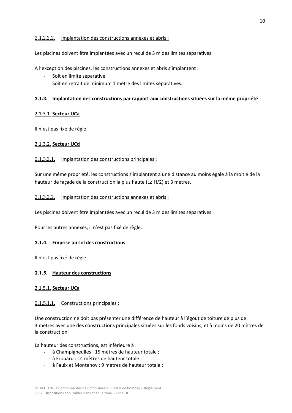#### 2.1.2.2.2. Implantation des constructions annexes et abris :

Les piscines doivent être implantées avec un recul de 3 m des limites séparatives.

A l'exception des piscines, les constructions annexes et abris s'implantent :

- Soit en limite séparative
- Soit en retrait de minimum 1 mètre des limites séparatives.

#### <span id="page-9-0"></span>**2.1.3. Implantation des constructions par rapport aux constructions situées sur la même propriété**

#### <span id="page-9-1"></span>2.1.3.1. **Secteur UCa**

Il n'est pas fixé de règle.

#### <span id="page-9-2"></span>2.1.3.2. **Secteur UCd**

#### 2.1.3.2.1. Implantation des constructions principales :

Sur une même propriété, les constructions s'implantent à une distance au moins égale à la moitié de la hauteur de façade de la construction la plus haute (L≥ H/2) et 3 mètres.

#### 2.1.3.2.2. Implantation des constructions annexes et abris :

Les piscines doivent être implantées avec un recul de 3 m des limites séparatives.

Pour les autres annexes, il n'est pas fixé de règle.

#### <span id="page-9-3"></span>**2.1.4. Emprise au sol des constructions**

Il n'est pas fixé de règle.

#### <span id="page-9-4"></span>**2.1.5. Hauteur des constructions**

#### <span id="page-9-5"></span>2.1.5.1. **Secteur UCa**

#### <span id="page-9-6"></span>2.1.5.1.1. Constructions principales :

Une construction ne doit pas présenter une différence de hauteur à l'égout de toiture de plus de 3 mètres avec une des constructions principales situées sur les fonds voisins, et à moins de 20 mètres de la construction.

La hauteur des constructions, est inférieure à :

- à Champigneulles : 15 mètres de hauteur totale ;
- à Frouard : 14 mètres de hauteur totale ;
- à Faulx et Montenoy : 9 mètres de hauteur totale ;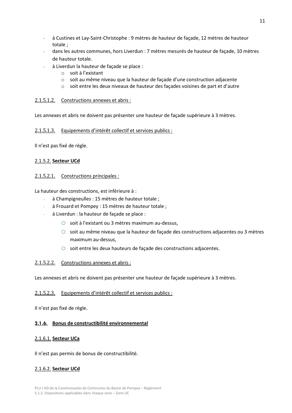- à Custines et Lay-Saint-Christophe : 9 mètres de hauteur de façade, 12 mètres de hauteur totale ;
- dans les autres communes, hors Liverdun : 7 mètres mesurés de hauteur de façade, 10 mètres de hauteur totale.
- à Liverdun la hauteur de façade se place :
	- o soit à l'existant
	- o soit au même niveau que la hauteur de façade d'une construction adjacente
	- o soit entre les deux niveaux de hauteur des façades voisines de part et d'autre

#### <span id="page-10-0"></span>2.1.5.1.2. Constructions annexes et abris :

Les annexes et abris ne doivent pas présenter une hauteur de façade supérieure à 3 mètres.

#### 2.1.5.1.3. Equipements d'intérêt collectif et services publics :

Il n'est pas fixé de règle.

#### <span id="page-10-1"></span>2.1.5.2. **Secteur UCd**

#### <span id="page-10-2"></span>2.1.5.2.1. Constructions principales :

La hauteur des constructions, est inférieure à :

- à Champigneulles : 15 mètres de hauteur totale ;
- à Frouard et Pompey : 15 mètres de hauteur totale ;
- à Liverdun : la hauteur de façade se place :
	- o soit à l'existant ou 3 mètres maximum au-dessus,
	- o soit au même niveau que la hauteur de façade des constructions adjacentes ou 3 mètres maximum au-dessus,
	- o soit entre les deux hauteurs de façade des constructions adjacentes.

#### <span id="page-10-3"></span>2.1.5.2.2. Constructions annexes et abris :

Les annexes et abris ne doivent pas présenter une hauteur de façade supérieure à 3 mètres.

#### 2.1.5.2.3. Equipements d'intérêt collectif et services publics :

Il n'est pas fixé de règle.

#### <span id="page-10-4"></span>**2.1.6. Bonus de constructibilité environnemental**

#### <span id="page-10-5"></span>2.1.6.1. **Secteur UCa**

Il n'est pas permis de bonus de constructibilité.

#### <span id="page-10-6"></span>2.1.6.2. **Secteur UCd**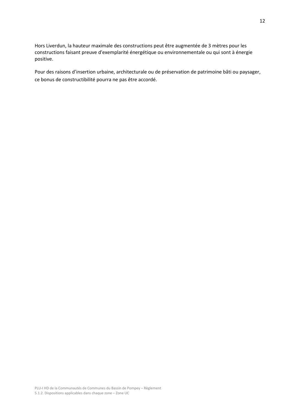Hors Liverdun, la hauteur maximale des constructions peut être augmentée de 3 mètres pour les constructions faisant preuve d'exemplarité énergétique ou environnementale ou qui sont à énergie positive.

Pour des raisons d'insertion urbaine, architecturale ou de préservation de patrimoine bâti ou paysager, ce bonus de constructibilité pourra ne pas être accordé.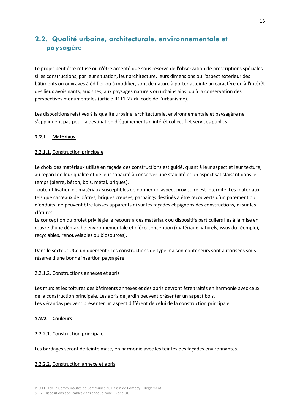# <span id="page-12-0"></span>**2.2. Qualité urbaine, architecturale, environnementale et paysagère**

Le projet peut être refusé ou n'être accepté que sous réserve de l'observation de prescriptions spéciales si les constructions, par leur situation, leur architecture, leurs dimensions ou l'aspect extérieur des bâtiments ou ouvrages à édifier ou à modifier, sont de nature à porter atteinte au caractère ou à l'intérêt des lieux avoisinants, aux sites, aux paysages naturels ou urbains ainsi qu'à la conservation des perspectives monumentales (article R111-27 du code de l'urbanisme).

Les dispositions relatives à la qualité urbaine, architecturale, environnementale et paysagère ne s'appliquent pas pour la destination d'équipements d'intérêt collectif et services publics.

#### **2.2.1. Matériaux**

#### <span id="page-12-1"></span>2.2.1.1. Construction principale

Le choix des matériaux utilisé en façade des constructions est guidé, quant à leur aspect et leur texture, au regard de leur qualité et de leur capacité à conserver une stabilité et un aspect satisfaisant dans le temps (pierre, bêton, bois, métal, briques).

Toute utilisation de matériaux susceptibles de donner un aspect provisoire est interdite. Les matériaux tels que carreaux de plâtres, briques creuses, parpaings destinés à être recouverts d'un parement ou d'enduits, ne peuvent être laissés apparents ni sur les façades et pignons des constructions, ni sur les clôtures.

La conception du projet privilégie le recours à des matériaux ou dispositifs particuliers liés à la mise en œuvre d'une démarche environnementale et d'éco-conception (matériaux naturels, issus du réemploi, recyclables, renouvelables ou biosourcés).

Dans le secteur UCd uniquement : Les constructions de type maison-conteneurs sont autorisées sous réserve d'une bonne insertion paysagère.

#### <span id="page-12-2"></span>2.2.1.2. Constructions annexes et abris

Les murs et les toitures des bâtiments annexes et des abris devront être traités en harmonie avec ceux de la construction principale. Les abris de jardin peuvent présenter un aspect bois. Les vérandas peuvent présenter un aspect différent de celui de la construction principale

#### <span id="page-12-3"></span>**2.2.2. Couleurs**

#### <span id="page-12-4"></span>2.2.2.1. Construction principale

Les bardages seront de teinte mate, en harmonie avec les teintes des façades environnantes.

#### <span id="page-12-5"></span>2.2.2.2. Construction annexe et abris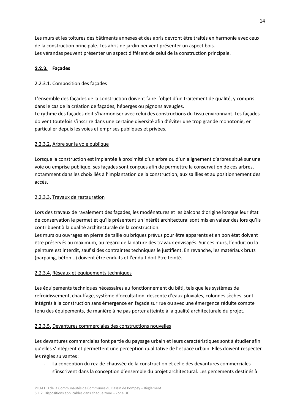Les murs et les toitures des bâtiments annexes et des abris devront être traités en harmonie avec ceux de la construction principale. Les abris de jardin peuvent présenter un aspect bois. Les vérandas peuvent présenter un aspect différent de celui de la construction principale.

#### <span id="page-13-0"></span>**2.2.3. Façades**

#### <span id="page-13-1"></span>2.2.3.1. Composition des façades

L'ensemble des façades de la construction doivent faire l'objet d'un traitement de qualité, y compris dans le cas de la création de façades, héberges ou pignons aveugles.

Le rythme des façades doit s'harmoniser avec celui des constructions du tissu environnant. Les façades doivent toutefois s'inscrire dans une certaine diversité afin d'éviter une trop grande monotonie, en particulier depuis les voies et emprises publiques et privées.

#### <span id="page-13-2"></span>2.2.3.2. Arbre sur la voie publique

Lorsque la construction est implantée à proximité d'un arbre ou d'un alignement d'arbres situé sur une voie ou emprise publique, ses façades sont conçues afin de permettre la conservation de ces arbres, notamment dans les choix liés à l'implantation de la construction, aux saillies et au positionnement des accès.

#### <span id="page-13-3"></span>2.2.3.3. Travaux de restauration

Lors des travaux de ravalement des façades, les modénatures et les balcons d'origine lorsque leur état de conservation le permet et qu'ils présentent un intérêt architectural sont mis en valeur dès lors qu'ils contribuent à la qualité architecturale de la construction.

Les murs ou ouvrages en pierre de taille ou briques prévus pour être apparents et en bon état doivent être préservés au maximum, au regard de la nature des travaux envisagés. Sur ces murs, l'enduit ou la peinture est interdit, sauf si des contraintes techniques le justifient. En revanche, les matériaux bruts (parpaing, béton...) doivent être enduits et l'enduit doit être teinté.

#### <span id="page-13-4"></span>2.2.3.4. Réseaux et équipements techniques

Les équipements techniques nécessaires au fonctionnement du bâti, tels que les systèmes de refroidissement, chauffage, système d'occultation, descente d'eaux pluviales, colonnes sèches, sont intégrés à la construction sans émergence en façade sur rue ou avec une émergence réduite compte tenu des équipements, de manière à ne pas porter atteinte à la qualité architecturale du projet.

#### <span id="page-13-5"></span>2.2.3.5. Devantures commerciales des constructions nouvelles

Les devantures commerciales font partie du paysage urbain et leurs caractéristiques sont à étudier afin qu'elles s'intègrent et permettent une perception qualitative de l'espace urbain. Elles doivent respecter les règles suivantes :

La conception du rez-de-chaussée de la construction et celle des devantures commerciales s'inscrivent dans la conception d'ensemble du projet architectural. Les percements destinés à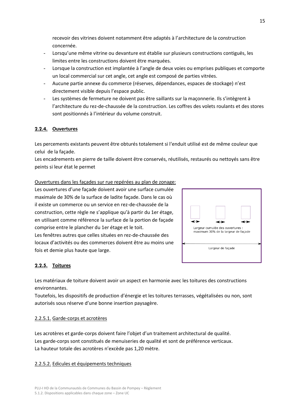recevoir des vitrines doivent notamment être adaptés à l'architecture de la construction concernée.

- Lorsqu'une même vitrine ou devanture est établie sur plusieurs constructions contiguës, les limites entre les constructions doivent être marquées.
- Lorsque la construction est implantée à l'angle de deux voies ou emprises publiques et comporte un local commercial sur cet angle, cet angle est composé de parties vitrées.
- Aucune partie annexe du commerce (réserves, dépendances, espaces de stockage) n'est directement visible depuis l'espace public.
- Les systèmes de fermeture ne doivent pas être saillants sur la maçonnerie. Ils s'intègrent à l'architecture du rez-de-chaussée de la construction. Les coffres des volets roulants et des stores sont positionnés à l'intérieur du volume construit.

#### <span id="page-14-0"></span>**2.2.4. Ouvertures**

Les percements existants peuvent être obturés totalement si l'enduit utilisé est de même couleur que celui de la façade.

Les encadrements en pierre de taille doivent être conservés, réutilisés, restaurés ou nettoyés sans être peints si leur état le permet

Ouvertures dans les façades sur rue repérées au plan de zonage: Les ouvertures d'une façade doivent avoir une surface cumulée maximale de 30% de la surface de ladite façade. Dans le cas où il existe un commerce ou un service en rez-de-chaussée de la construction, cette règle ne s'applique qu'à partir du 1er étage, en utilisant comme référence la surface de la portion de façade comprise entre le plancher du 1er étage et le toit.

Les fenêtres autres que celles situées en rez-de-chaussée des locaux d'activités ou des commerces doivent être au moins une fois et demie plus haute que large.



#### <span id="page-14-1"></span>**2.2.5. Toitures**

Les matériaux de toiture doivent avoir un aspect en harmonie avec les toitures des constructions environnantes.

Toutefois, les dispositifs de production d'énergie et les toitures terrasses, végétalisées ou non, sont autorisés sous réserve d'une bonne insertion paysagère.

#### <span id="page-14-2"></span>2.2.5.1. Garde-corps et acrotères

Les acrotères et garde-corps doivent faire l'objet d'un traitement architectural de qualité. Les garde-corps sont constitués de menuiseries de qualité et sont de préférence verticaux. La hauteur totale des acrotères n'excède pas 1,20 mètre.

#### <span id="page-14-3"></span>2.2.5.2. Edicules et équipements techniques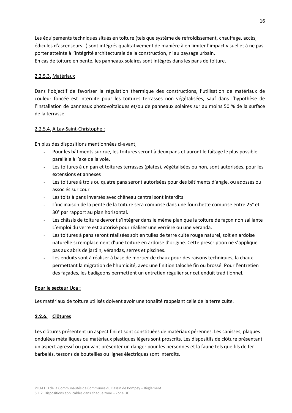Les équipements techniques situés en toiture (tels que système de refroidissement, chauffage, accès, édicules d'ascenseurs…) sont intégrés qualitativement de manière à en limiter l'impact visuel et à ne pas porter atteinte à l'intégrité architecturale de la construction, ni au paysage urbain. En cas de toiture en pente, les panneaux solaires sont intégrés dans les pans de toiture.

#### <span id="page-15-0"></span>2.2.5.3. Matériaux

Dans l'objectif de favoriser la régulation thermique des constructions, l'utilisation de matériaux de couleur foncée est interdite pour les toitures terrasses non végétalisées, sauf dans l'hypothèse de l'installation de panneaux photovoltaïques et/ou de panneaux solaires sur au moins 50 % de la surface de la terrasse

#### <span id="page-15-1"></span>2.2.5.4. A Lay-Saint-Christophe :

En plus des dispositions mentionnées ci-avant,

- Pour les bâtiments sur rue, les toitures seront à deux pans et auront le faîtage le plus possible parallèle à l'axe de la voie.
- Les toitures à un pan et toitures terrasses (plates), végétalisées ou non, sont autorisées, pour les extensions et annexes
- Les toitures à trois ou quatre pans seront autorisées pour des bâtiments d'angle, ou adossés ou associés sur cour
- Les toits à pans inversés avec chêneau central sont interdits
- L'inclinaison de la pente de la toiture sera comprise dans une fourchette comprise entre 25° et 30° par rapport au plan horizontal.
- Les châssis de toiture devront s'intégrer dans le même plan que la toiture de façon non saillante
- L'emploi du verre est autorisé pour réaliser une verrière ou une véranda.
- Les toitures à pans seront réalisées soit en tuiles de terre cuite rouge naturel, soit en ardoise naturelle si remplacement d'une toiture en ardoise d'origine. Cette prescription ne s'applique pas aux abris de jardin, vérandas, serres et piscines.
- Les enduits sont à réaliser à base de mortier de chaux pour des raisons techniques, la chaux permettant la migration de l'humidité, avec une finition taloché fin ou brossé. Pour l'entretien des façades, les badigeons permettent un entretien régulier sur cet enduit traditionnel.

#### **Pour le secteur Uca :**

Les matériaux de toiture utilisés doivent avoir une tonalité rappelant celle de la terre cuite.

#### <span id="page-15-2"></span>**2.2.6. Clôtures**

Les clôtures présentent un aspect fini et sont constituées de matériaux pérennes. Les canisses, plaques ondulées métalliques ou matériaux plastiques légers sont proscrits. Les dispositifs de clôture présentant un aspect agressif ou pouvant présenter un danger pour les personnes et la faune tels que fils de fer barbelés, tessons de bouteilles ou lignes électriques sont interdits.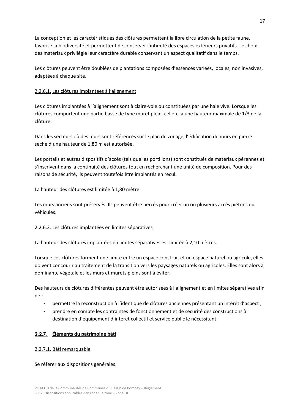La conception et les caractéristiques des clôtures permettent la libre circulation de la petite faune, favorise la biodiversité et permettent de conserver l'intimité des espaces extérieurs privatifs. Le choix des matériaux privilégie leur caractère durable conservant un aspect qualitatif dans le temps.

Les clôtures peuvent être doublées de plantations composées d'essences variées, locales, non invasives, adaptées à chaque site.

#### <span id="page-16-0"></span>2.2.6.1. Les clôtures implantées à l'alignement

Les clôtures implantées à l'alignement sont à claire-voie ou constituées par une haie vive. Lorsque les clôtures comportent une partie basse de type muret plein, celle-ci a une hauteur maximale de 1/3 de la clôture.

Dans les secteurs où des murs sont référencés sur le plan de zonage, l'édification de murs en pierre sèche d'une hauteur de 1,80 m est autorisée.

Les portails et autres dispositifs d'accès (tels que les portillons) sont constitués de matériaux pérennes et s'inscrivent dans la continuité des clôtures tout en recherchant une unité de composition. Pour des raisons de sécurité, ils peuvent toutefois être implantés en recul.

La hauteur des clôtures est limitée à 1,80 mètre.

Les murs anciens sont préservés. Ils peuvent être percés pour créer un ou plusieurs accès piétons ou véhicules.

#### <span id="page-16-1"></span>2.2.6.2. Les clôtures implantées en limites séparatives

La hauteur des clôtures implantées en limites séparatives est limitée à 2,10 mètres.

Lorsque ces clôtures forment une limite entre un espace construit et un espace naturel ou agricole, elles doivent concourir au traitement de la transition vers les paysages naturels ou agricoles. Elles sont alors à dominante végétale et les murs et murets pleins sont à éviter.

Des hauteurs de clôtures différentes peuvent être autorisées à l'alignement et en limites séparatives afin de :

- permettre la reconstruction à l'identique de clôtures anciennes présentant un intérêt d'aspect ;
- prendre en compte les contraintes de fonctionnement et de sécurité des constructions à destination d'équipement d'intérêt collectif et service public le nécessitant.

#### <span id="page-16-2"></span>**2.2.7. Éléments du patrimoine bâti**

#### <span id="page-16-3"></span>2.2.7.1. Bâti remarquable

Se référer aux dispositions générales.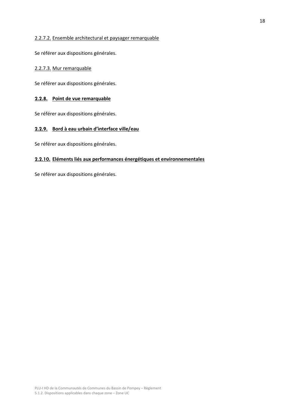#### <span id="page-17-0"></span>2.2.7.2. Ensemble architectural et paysager remarquable

Se référer aux dispositions générales.

#### <span id="page-17-1"></span>2.2.7.3. Mur remarquable

Se référer aux dispositions générales.

#### <span id="page-17-2"></span>**2.2.8. Point de vue remarquable**

Se référer aux dispositions générales.

#### <span id="page-17-3"></span>**2.2.9. Bord à eau urbain d'interface ville/eau**

Se référer aux dispositions générales.

#### <span id="page-17-4"></span>**2.2.10. Eléments liés aux performances énergétiques et environnementales**

Se référer aux dispositions générales.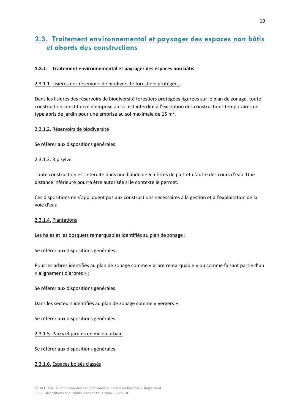## <span id="page-18-0"></span>**2.3. Traitement environnemental et paysager des espaces non bâtis et abords des constructions**

#### <span id="page-18-1"></span>**2.3.1. Traitement environnemental et paysager des espaces non bâtis**

#### <span id="page-18-2"></span>2.3.1.1. Lisières des réservoirs de biodiversité forestiers protégées

Dans les lisières des réservoirs de biodiversité forestiers protégées figurées sur le plan de zonage, toute construction constitutive d'emprise au sol est interdite à l'exception des constructions temporaires de type abris de jardin pour une emprise au sol maximale de 15 m².

#### <span id="page-18-3"></span>2.3.1.2. Réservoirs de biodiversité

Se référer aux dispositions générales.

#### <span id="page-18-4"></span>2.3.1.3. Ripisylve

Toute construction est interdite dans une bande de 6 mètres de part et d'autre des cours d'eau. Une distance inférieure pourra être autorisée si le contexte le permet.

Ces dispositions ne s'appliquent pas aux constructions nécessaires à la gestion et à l'exploitation de la voie d'eau.

#### <span id="page-18-5"></span>2.3.1.4. Plantations

#### Les haies et les bosquets remarquables identifiés au plan de zonage :

Se référer aux dispositions générales.

| Pour les arbres identifiés au plan de zonage comme « arbre remarquable » ou comme faisant partie d'un |  |  |
|-------------------------------------------------------------------------------------------------------|--|--|
| « alignement d'arbres » :                                                                             |  |  |

Se référer aux dispositions générales.

#### Dans les secteurs identifiés au plan de zonage comme « vergers » :

Se référer aux dispositions générales.

<span id="page-18-6"></span>2.3.1.5. Parcs et jardins en milieu urbain

Se référer aux dispositions générales.

#### <span id="page-18-7"></span>2.3.1.6. Espaces boisés classés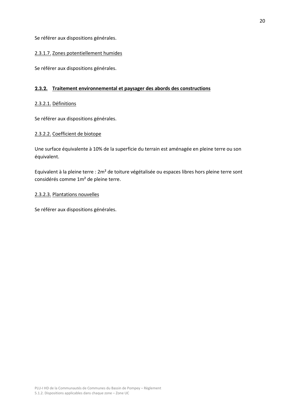Se référer aux dispositions générales.

#### <span id="page-19-0"></span>2.3.1.7. Zones potentiellement humides

Se référer aux dispositions générales.

#### <span id="page-19-1"></span>**2.3.2. Traitement environnemental et paysager des abords des constructions**

#### <span id="page-19-2"></span>2.3.2.1. Définitions

Se référer aux dispositions générales.

#### <span id="page-19-3"></span>2.3.2.2. Coefficient de biotope

Une surface équivalente à 10% de la superficie du terrain est aménagée en pleine terre ou son équivalent.

Equivalent à la pleine terre : 2m² de toiture végétalisée ou espaces libres hors pleine terre sont considérés comme 1m² de pleine terre.

#### <span id="page-19-4"></span>2.3.2.3. Plantations nouvelles

Se référer aux dispositions générales.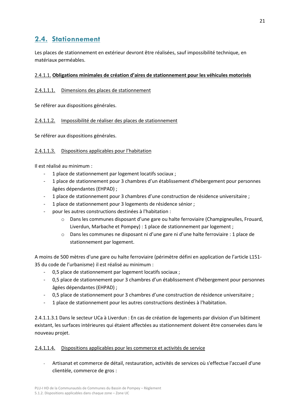# <span id="page-20-0"></span>**2.4. Stationnement**

Les places de stationnement en extérieur devront être réalisées, sauf impossibilité technique, en matériaux perméables.

#### <span id="page-20-1"></span>2.4.1.1. **Obligations minimales de création d'aires de stationnement pour les véhicules motorisés**

#### <span id="page-20-2"></span>2.4.1.1.1. Dimensions des places de stationnement

Se référer aux dispositions générales.

#### <span id="page-20-3"></span>2.4.1.1.2. Impossibilité de réaliser des places de stationnement

Se référer aux dispositions générales.

#### <span id="page-20-4"></span>2.4.1.1.3. Dispositions applicables pour l'habitation

Il est réalisé au minimum :

- 1 place de stationnement par logement locatifs sociaux ;
- 1 place de stationnement pour 3 chambres d'un établissement d'hébergement pour personnes âgées dépendantes (EHPAD) ;
- 1 place de stationnement pour 3 chambres d'une construction de résidence universitaire ;
- 1 place de stationnement pour 3 logements de résidence sénior ;
- pour les autres constructions destinées à l'habitation :
	- o Dans les communes disposant d'une gare ou halte ferroviaire (Champigneulles, Frouard, Liverdun, Marbache et Pompey) : 1 place de stationnement par logement ;
	- o Dans les communes ne disposant ni d'une gare ni d'une halte ferroviaire : 1 place de stationnement par logement.

A moins de 500 mètres d'une gare ou halte ferroviaire (périmètre défini en application de l'article L151- 35 du code de l'urbanisme) il est réalisé au minimum :

- 0.5 place de stationnement par logement locatifs sociaux ;
- 0,5 place de stationnement pour 3 chambres d'un établissement d'hébergement pour personnes âgées dépendantes (EHPAD) ;
- 0,5 place de stationnement pour 3 chambres d'une construction de résidence universitaire ;
- 1 place de stationnement pour les autres constructions destinées à l'habitation.

2.4.1.1.3.1 Dans le secteur UCa à Liverdun : En cas de création de logements par division d'un bâtiment existant, les surfaces intérieures qui étaient affectées au stationnement doivent être conservées dans le nouveau projet.

#### <span id="page-20-5"></span>2.4.1.1.4. Dispositions applicables pour les commerce et activités de service

- Artisanat et commerce de détail, restauration, activités de services où s'effectue l'accueil d'une clientèle, commerce de gros :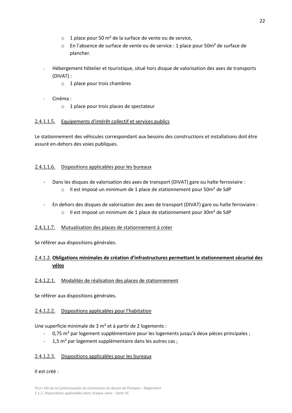- $\circ$  1 place pour 50 m<sup>2</sup> de la surface de vente ou de service,
- o En l'absence de surface de vente ou de service : 1 place pour 50m² de surface de plancher.
- Hébergement hôtelier et touristique, situé hors disque de valorisation des axes de transports (DIVAT) :
	- o 1 place pour trois chambres
- Cinéma :
	- o 1 place pour trois places de spectateur

#### <span id="page-21-0"></span>2.4.1.1.5. Equipements d'intérêt collectif et services publics

Le stationnement des véhicules correspondant aux besoins des constructions et installations doit être assuré en-dehors des voies publiques.

#### <span id="page-21-1"></span>2.4.1.1.6. Dispositions applicables pour les bureaux

- Dans les disques de valorisation des axes de transport (DIVAT) gare ou halte ferroviaire : o Il est imposé un minimum de 1 place de stationnement pour 50m² de SdP
- En dehors des disques de valorisation des axes de transport (DIVAT) gare ou halte ferroviaire :
	- $\circ$  Il est imposé un minimum de 1 place de stationnement pour 30m<sup>2</sup> de SdP

#### <span id="page-21-2"></span>2.4.1.1.7. Mutualisation des places de stationnement à créer

Se référer aux dispositions générales.

#### <span id="page-21-3"></span>2.4.1.2. **Obligations minimales de création d'infrastructures permettant le stationnement sécurisé des vélos**

#### <span id="page-21-4"></span>2.4.1.2.1. Modalités de réalisation des places de stationnement

Se référer aux dispositions générales.

#### <span id="page-21-5"></span>2.4.1.2.2. Dispositions applicables pour l'habitation

Une superficie minimale de 3 m² et à partir de 2 logements :

- 0,75 m² par logement supplémentaire pour les logements jusqu'à deux pièces principales ;
- 1.5 m<sup>2</sup> par logement supplémentaire dans les autres cas :

#### <span id="page-21-6"></span>2.4.1.2.3. Dispositions applicables pour les bureaux

#### Il est créé :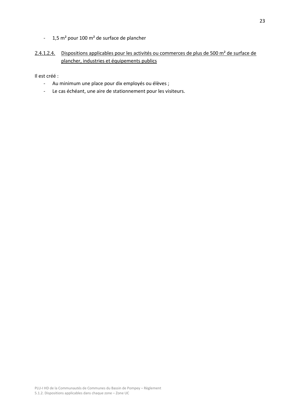- 1,5 m² pour 100 m² de surface de plancher

#### <span id="page-22-0"></span>2.4.1.2.4. Dispositions applicables pour les activités ou commerces de plus de 500 m<sup>2</sup> de surface de plancher, industries et équipements publics

Il est créé :

- Au minimum une place pour dix employés ou élèves ;
- Le cas échéant, une aire de stationnement pour les visiteurs.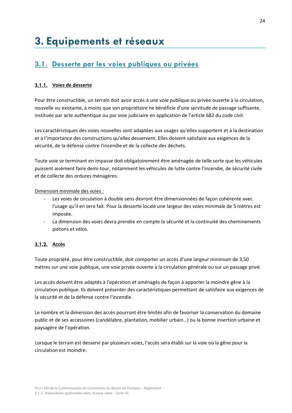# <span id="page-23-0"></span>**3. Equipements et réseaux**

# <span id="page-23-1"></span>**3.1. Desserte par les voies publiques ou privées**

#### <span id="page-23-2"></span>**3.1.1. Voies de desserte**

Pour être constructible, un terrain doit avoir accès à une voie publique ou privée ouverte à la circulation, nouvelle ou existante, à moins que son propriétaire ne bénéficie d'une servitude de passage suffisante, instituée par acte authentique ou par voie judiciaire en application de l'article 682 du code civil.

Les caractéristiques des voies nouvelles sont adaptées aux usages qu'elles supportent et à la destination et à l'importance des constructions qu'elles desservent. Elles doivent satisfaire aux exigences de la sécurité, de la défense contre l'incendie et de la collecte des déchets.

Toute voie se terminant en impasse doit obligatoirement être aménagée de telle sorte que les véhicules puissent aisément faire demi-tour, notamment les véhicules de lutte contre l'incendie, de sécurité civile et de collecte des ordures ménagères.

Dimension minimale des voies :

- Les voies de circulation à double sens devront être dimensionnées de façon cohérente avec l'usage qu'il en sera fait. Pour la desserte locale une largeur des voies minimale de 5 mètres est imposée.
- La dimension des voies devra prendre en compte la sécurité et la continuité des cheminements piétons et vélos.

#### <span id="page-23-3"></span>**3.1.2. Accès**

Toute propriété, pour être constructible, doit comporter un accès d'une largeur minimum de 3,50 mètres sur une voie publique, une voie privée ouverte à la circulation générale ou sur un passage privé.

Les accès doivent être adaptés à l'opération et aménagés de façon à apporter la moindre gêne à la circulation publique. Ils doivent présenter des caractéristiques permettant de satisfaire aux exigences de la sécurité et de la défense contre l'incendie.

Le nombre et la dimension des accès pourront être limités afin de favoriser la conservation du domaine public et de ses accessoires (candélabre, plantation, mobilier urbain…) ou la bonne insertion urbaine et paysagère de l'opération.

Lorsque le terrain est desservi par plusieurs voies, l'accès sera établi sur la voie où la gêne pour la circulation est moindre.